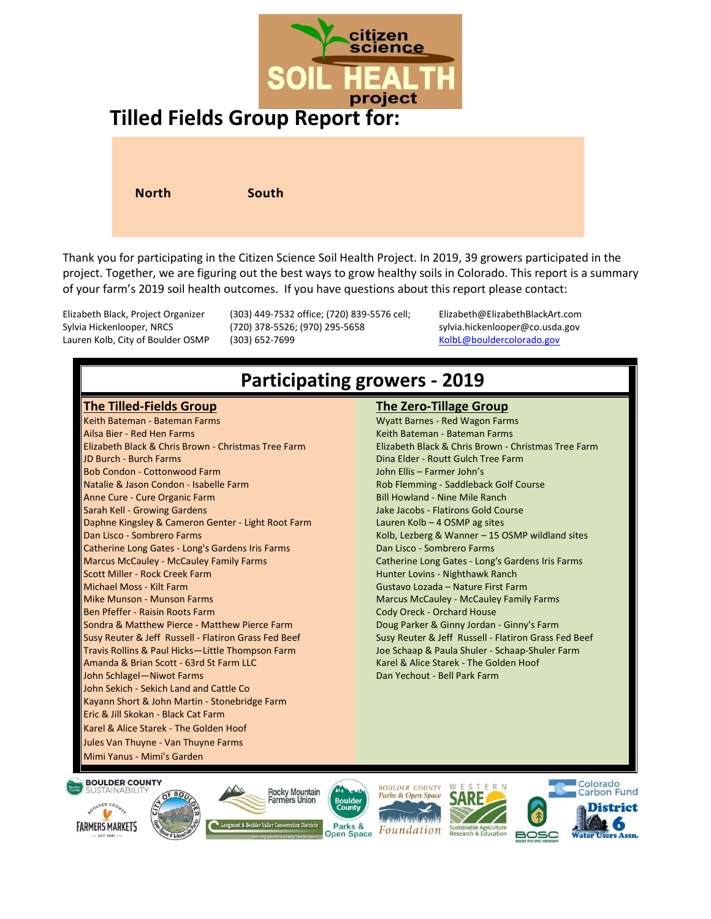

Thank you for participating in the Citizen Science Soil Health Project. In 2019, 39 growers participated in the project. Together, we are figuring out the best ways to grow healthy soils in Colorado. This report is a summary of your farm's 2019 soil health outcomes. If you have questions about this report please contact:

Elizabeth Black, Project Organizer (303) 449-7532 office; (720) 839-5576 cell; Elizabeth@ElizabethBlackArt.com Sylvia Hickenlooper, NRCS (720) 378-5526; (970) 295-5658 [sylvia.hickenlooper@co.usda.gov](mailto:sylvia.hickenlooper@co.usda.gov) Lauren Kolb, City of Boulder OSMP (303) 652-7699 [KolbL@bouldercolorado.gov](mailto:KolbL@bouldercolorado.gov)

# **Participating growers - 2019**

#### **The Tilled-Fields Group The Zero-Tillage Group**

Keith Bateman - Bateman Farms Weith Barnes - Red Wagon Farms Ailsa Bier - Red Hen Farms Keith Bateman - Bateman Farms Elizabeth Black & Chris Brown - Christmas Tree Farm Elizabeth Black & Chris Brown - Christmas Tree Farm JD Burch - Burch Farms Dina Elder - Routt Gulch Tree Farm Bob Condon - Cottonwood Farm Natalie & Jason Condon - Isabelle Farm Anne Cure - Cure Organic Farm Bill Howland - Nine Mile Ranch Sarah Kell - Growing Gardens Jake Jacobs - Flatirons Gold Course Daphne Kingsley & Cameron Genter - Light Root Farm Dan Lisco - Sombrero Farms Catherine Long Gates - Long's Gardens Iris Farms Marcus McCauley - McCauley Family Farms Scott Miller - Rock Creek Farm Michael Moss - Kilt Farm Mike Munson - Munson Farms Ben Pfeffer - Raisin Roots Farm Sondra & Matthew Pierce - Matthew Pierce Farm Susy Reuter & Jeff Russell - Flatiron Grass Fed Beef Travis Rollins & Paul Hicks—Little Thompson Farm Amanda & Brian Scott - 63rd St Farm LLC John Schlagel—Niwot Farms John Sekich - Sekich Land and Cattle Co Kayann Short & John Martin - Stonebridge Farm Eric & Jill Skokan - Black Cat Farm Karel & Alice Starek - The Golden Hoof Jules Van Thuyne - Van Thuyne Farms Mimi Yanus - Mimi's Garden

John Ellis – Farmer John's Rob Flemming - Saddleback Golf Course Lauren Kolb – 4 OSMP ag sites Kolb, Lezberg & Wanner – 15 OSMP wildland sites Dan Lisco - Sombrero Farms Catherine Long Gates - Long's Gardens Iris Farms Hunter Lovins - Nighthawk Ranch Gustavo Lozada – Nature First Farm Marcus McCauley - McCauley Family Farms Cody Oreck - Orchard House Doug Parker & Ginny Jordan - Ginny's Farm Susy Reuter & Jeff Russell - Flatiron Grass Fed Beef Joe Schaap & Paula Shuler - Schaap-Shuler Farm Karel & Alice Starek - The Golden Hoof Dan Yechout - Bell Park Farm

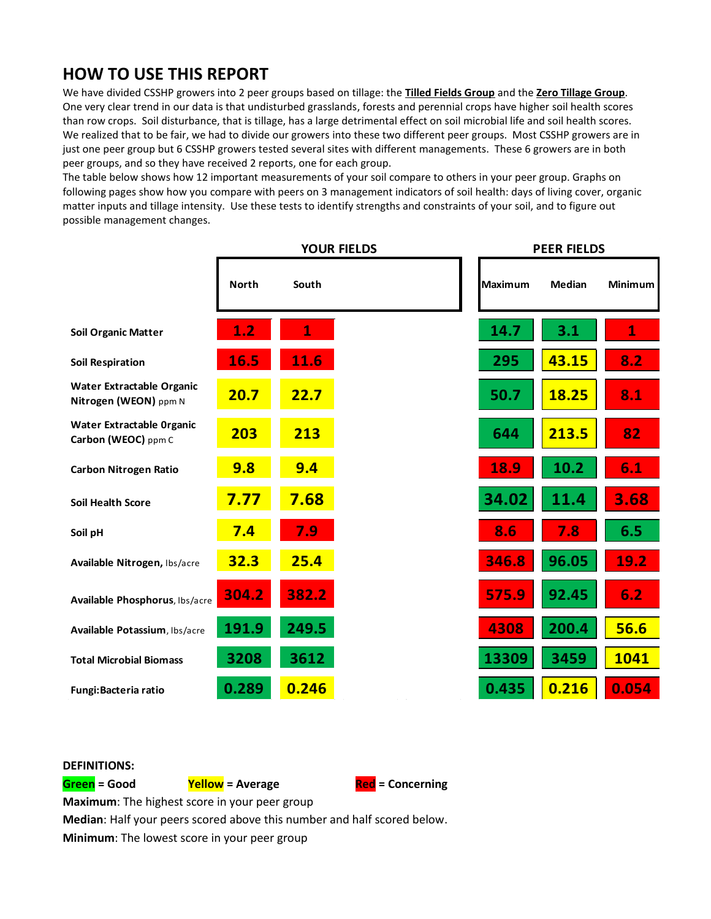# **HOW TO USE THIS REPORT**

We have divided CSSHP growers into 2 peer groups based on tillage: the **Tilled Fields Group** and the **Zero Tillage Group**. One very clear trend in our data is that undisturbed grasslands, forests and perennial crops have higher soil health scores than row crops. Soil disturbance, that is tillage, has a large detrimental effect on soil microbial life and soil health scores. We realized that to be fair, we had to divide our growers into these two different peer groups. Most CSSHP growers are in just one peer group but 6 CSSHP growers tested several sites with different managements. These 6 growers are in both peer groups, and so they have received 2 reports, one for each group.

The table below shows how 12 important measurements of your soil compare to others in your peer group. Graphs on following pages show how you compare with peers on 3 management indicators of soil health: days of living cover, organic matter inputs and tillage intensity. Use these tests to identify strengths and constraints of your soil, and to figure out possible management changes.

|                                                           |              |              | <b>YOUR FIELDS</b> |         | <b>PEER FIELDS</b> |                |
|-----------------------------------------------------------|--------------|--------------|--------------------|---------|--------------------|----------------|
|                                                           | <b>North</b> | South        |                    | Maximum | <b>Median</b>      | <b>Minimum</b> |
| <b>Soil Organic Matter</b>                                | 1.2          | $\mathbf{1}$ |                    | 14.7    | 3.1                | $\mathbf{1}$   |
| <b>Soil Respiration</b>                                   | 16.5         | 11.6         |                    | 295     | 43.15              | 8.2            |
| <b>Water Extractable Organic</b><br>Nitrogen (WEON) ppm N | 20.7         | 22.7         |                    | 50.7    | <b>18.25</b>       | 8.1            |
| Water Extractable Organic<br>Carbon (WEOC) ppm C          | 203          | 213          |                    | 644     | 213.5              | 82             |
| <b>Carbon Nitrogen Ratio</b>                              | 9.8          | 9.4          |                    | 18.9    | 10.2               | 6.1            |
| <b>Soil Health Score</b>                                  | 7.77         | 7.68         |                    | 34.02   | 11.4               | 3.68           |
| Soil pH                                                   | 7.4          | 7.9          |                    | 8.6     | 7.8                | 6.5            |
| Available Nitrogen, Ibs/acre                              | 32.3         | 25.4         |                    | 346.8   | 96.05              | <b>19.2</b>    |
| Available Phosphorus, Ibs/acre                            | 304.2        | 382.2        |                    | 575.9   | 92.45              | 6.2            |
| Available Potassium, Ibs/acre                             | 191.9        | 249.5        |                    | 4308    | 200.4              | 56.6           |
| <b>Total Microbial Biomass</b>                            | 3208         | 3612         |                    | 13309   | 3459               | 1041           |
| Fungi: Bacteria ratio                                     | 0.289        | 0.246        |                    | 0.435   | 0.216              | 0.054          |

#### **DEFINITIONS:**

**Green = Good Yellow = Average Red = Concerning**

**Maximum**: The highest score in your peer group

**Median**: Half your peers scored above this number and half scored below. **Minimum**: The lowest score in your peer group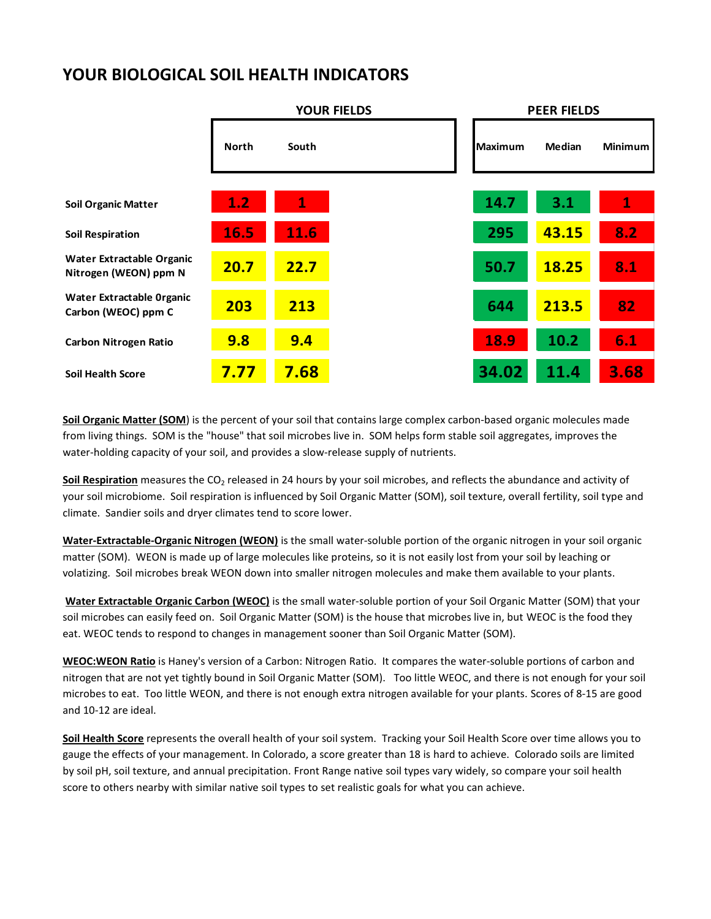#### **YOUR BIOLOGICAL SOIL HEALTH INDICATORS**

|                                                    |              |              | <b>YOUR FIELDS</b> |                | <b>PEER FIELDS</b> |                |
|----------------------------------------------------|--------------|--------------|--------------------|----------------|--------------------|----------------|
|                                                    | <b>North</b> | South        |                    | <b>Maximum</b> | <b>Median</b>      | <b>Minimum</b> |
| <b>Soil Organic Matter</b>                         | 1.2          | $\mathbf{1}$ |                    | 14.7           | 3.1                | $\mathbf{1}$   |
| <b>Soil Respiration</b>                            | 16.5         | 11.6         |                    | 295            | 43.15              | 8.2            |
| Water Extractable Organic<br>Nitrogen (WEON) ppm N | 20.7         | 22.7         |                    | 50.7           | 18.25              | 8.1            |
| Water Extractable Organic<br>Carbon (WEOC) ppm C   | 203          | 213          |                    | 644            | 213.5              | 82             |
| <b>Carbon Nitrogen Ratio</b>                       | 9.8          | 9.4          |                    | 18.9           | 10.2               | 6.1            |
| <b>Soil Health Score</b>                           | 7.77         | 7.68         |                    | 34.02          | 11.4               | 3.68           |

**Soil Organic Matter (SOM**) is the percent of your soil that contains large complex carbon-based organic molecules made from living things. SOM is the "house" that soil microbes live in. SOM helps form stable soil aggregates, improves the water-holding capacity of your soil, and provides a slow-release supply of nutrients.

Soil Respiration measures the CO<sub>2</sub> released in 24 hours by your soil microbes, and reflects the abundance and activity of your soil microbiome. Soil respiration is influenced by Soil Organic Matter (SOM), soil texture, overall fertility, soil type and climate. Sandier soils and dryer climates tend to score lower.

**Water-Extractable-Organic Nitrogen (WEON)** is the small water-soluble portion of the organic nitrogen in your soil organic matter (SOM). WEON is made up of large molecules like proteins, so it is not easily lost from your soil by leaching or volatizing. Soil microbes break WEON down into smaller nitrogen molecules and make them available to your plants.

**Water Extractable Organic Carbon (WEOC)** is the small water-soluble portion of your Soil Organic Matter (SOM) that your soil microbes can easily feed on. Soil Organic Matter (SOM) is the house that microbes live in, but WEOC is the food they eat. WEOC tends to respond to changes in management sooner than Soil Organic Matter (SOM).

**WEOC:WEON Ratio** is Haney's version of a Carbon: Nitrogen Ratio. It compares the water-soluble portions of carbon and nitrogen that are not yet tightly bound in Soil Organic Matter (SOM). Too little WEOC, and there is not enough for your soil microbes to eat. Too little WEON, and there is not enough extra nitrogen available for your plants. Scores of 8-15 are good and 10-12 are ideal.

**Soil Health Score** represents the overall health of your soil system. Tracking your Soil Health Score over time allows you to gauge the effects of your management. In Colorado, a score greater than 18 is hard to achieve. Colorado soils are limited by soil pH, soil texture, and annual precipitation. Front Range native soil types vary widely, so compare your soil health score to others nearby with similar native soil types to set realistic goals for what you can achieve.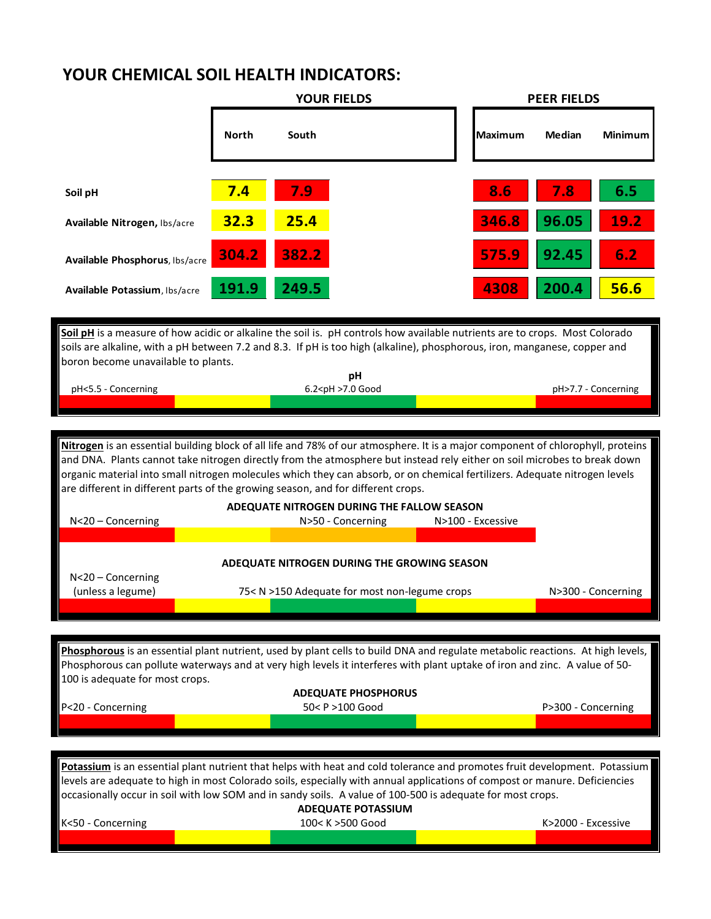## **YOUR CHEMICAL SOIL HEALTH INDICATORS:**

|                                                                                                                                                                                                                                                                                                                                                                                                                                                                                                                                                                                            |                                                                                                                                                                                                                                                                                                                                                           | <b>YOUR FIELDS</b> |                                               |                | <b>PEER FIELDS</b> |                    |  |
|--------------------------------------------------------------------------------------------------------------------------------------------------------------------------------------------------------------------------------------------------------------------------------------------------------------------------------------------------------------------------------------------------------------------------------------------------------------------------------------------------------------------------------------------------------------------------------------------|-----------------------------------------------------------------------------------------------------------------------------------------------------------------------------------------------------------------------------------------------------------------------------------------------------------------------------------------------------------|--------------------|-----------------------------------------------|----------------|--------------------|--------------------|--|
|                                                                                                                                                                                                                                                                                                                                                                                                                                                                                                                                                                                            | <b>North</b>                                                                                                                                                                                                                                                                                                                                              | South              |                                               | <b>Maximum</b> | <b>Median</b>      | Minimum            |  |
| Soil pH                                                                                                                                                                                                                                                                                                                                                                                                                                                                                                                                                                                    | 7.4                                                                                                                                                                                                                                                                                                                                                       | 7.9                |                                               | 8.6            | 7.8                | 6.5                |  |
| Available Nitrogen, Ibs/acre                                                                                                                                                                                                                                                                                                                                                                                                                                                                                                                                                               | 32.3                                                                                                                                                                                                                                                                                                                                                      | 25.4               |                                               | 346.8          | 96.05              | 19.2               |  |
| Available Phosphorus, Ibs/acre                                                                                                                                                                                                                                                                                                                                                                                                                                                                                                                                                             | 304.2                                                                                                                                                                                                                                                                                                                                                     | 382.2              |                                               | 575.9          | 92.45              | 6.2                |  |
| Available Potassium, Ibs/acre                                                                                                                                                                                                                                                                                                                                                                                                                                                                                                                                                              | 191.9                                                                                                                                                                                                                                                                                                                                                     | 249.5              |                                               | 4308           | 200.4              | 56.6               |  |
| pH<5.5 - Concerning                                                                                                                                                                                                                                                                                                                                                                                                                                                                                                                                                                        | Soil pH is a measure of how acidic or alkaline the soil is. pH controls how available nutrients are to crops. Most Colorado<br>soils are alkaline, with a pH between 7.2 and 8.3. If pH is too high (alkaline), phosphorous, iron, manganese, copper and<br>boron become unavailable to plants.<br>рH<br>6.2 <ph>7.0 Good<br/>pH&gt;7.7 - Concerning</ph> |                    |                                               |                |                    |                    |  |
|                                                                                                                                                                                                                                                                                                                                                                                                                                                                                                                                                                                            |                                                                                                                                                                                                                                                                                                                                                           |                    |                                               |                |                    |                    |  |
| Nitrogen is an essential building block of all life and 78% of our atmosphere. It is a major component of chlorophyll, proteins<br>and DNA. Plants cannot take nitrogen directly from the atmosphere but instead rely either on soil microbes to break down<br>organic material into small nitrogen molecules which they can absorb, or on chemical fertilizers. Adequate nitrogen levels<br>are different in different parts of the growing season, and for different crops.<br>ADEQUATE NITROGEN DURING THE FALLOW SEASON<br>N<20 - Concerning<br>N>50 - Concerning<br>N>100 - Excessive |                                                                                                                                                                                                                                                                                                                                                           |                    |                                               |                |                    |                    |  |
| N<20 - Concerning                                                                                                                                                                                                                                                                                                                                                                                                                                                                                                                                                                          |                                                                                                                                                                                                                                                                                                                                                           |                    | ADEQUATE NITROGEN DURING THE GROWING SEASON   |                |                    |                    |  |
| (unless a legume)                                                                                                                                                                                                                                                                                                                                                                                                                                                                                                                                                                          |                                                                                                                                                                                                                                                                                                                                                           |                    | 75< N >150 Adequate for most non-legume crops |                |                    | N>300 - Concerning |  |
|                                                                                                                                                                                                                                                                                                                                                                                                                                                                                                                                                                                            |                                                                                                                                                                                                                                                                                                                                                           |                    |                                               |                |                    |                    |  |
| Phosphorous is an essential plant nutrient, used by plant cells to build DNA and regulate metabolic reactions. At high levels,<br>Phosphorous can pollute waterways and at very high levels it interferes with plant uptake of iron and zinc. A value of 50-<br>100 is adequate for most crops.<br><b>ADEQUATE PHOSPHORUS</b><br>50 <p> 100 Good</p>                                                                                                                                                                                                                                       |                                                                                                                                                                                                                                                                                                                                                           |                    |                                               |                |                    |                    |  |
| P<20 - Concerning                                                                                                                                                                                                                                                                                                                                                                                                                                                                                                                                                                          |                                                                                                                                                                                                                                                                                                                                                           |                    |                                               |                | P>300 - Concerning |                    |  |
|                                                                                                                                                                                                                                                                                                                                                                                                                                                                                                                                                                                            |                                                                                                                                                                                                                                                                                                                                                           |                    |                                               |                |                    |                    |  |
| Potassium is an essential plant nutrient that helps with heat and cold tolerance and promotes fruit development. Potassium<br>levels are adequate to high in most Colorado soils, especially with annual applications of compost or manure. Deficiencies<br>occasionally occur in soil with low SOM and in sandy soils. A value of 100-500 is adequate for most crops.<br><b>ADEQUATE POTASSIUM</b><br>K<50 - Concerning<br>100 <k> &gt; 500 Good<br/>K&gt;2000 - Excessive</k>                                                                                                            |                                                                                                                                                                                                                                                                                                                                                           |                    |                                               |                |                    |                    |  |
|                                                                                                                                                                                                                                                                                                                                                                                                                                                                                                                                                                                            |                                                                                                                                                                                                                                                                                                                                                           |                    |                                               |                |                    |                    |  |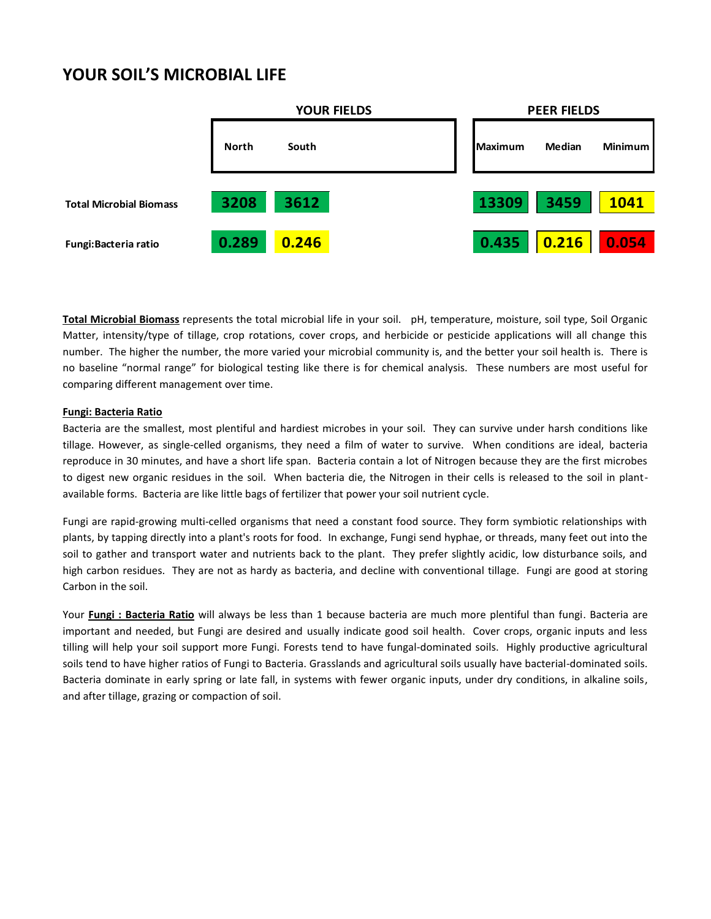#### **YOUR SOIL'S MICROBIAL LIFE**



**Total Microbial Biomass** represents the total microbial life in your soil. pH, temperature, moisture, soil type, Soil Organic Matter, intensity/type of tillage, crop rotations, cover crops, and herbicide or pesticide applications will all change this number. The higher the number, the more varied your microbial community is, and the better your soil health is. There is no baseline "normal range" for biological testing like there is for chemical analysis. These numbers are most useful for comparing different management over time.

#### **Fungi: Bacteria Ratio**

Bacteria are the smallest, most plentiful and hardiest microbes in your soil. They can survive under harsh conditions like tillage. However, as single-celled organisms, they need a film of water to survive. When conditions are ideal, bacteria reproduce in 30 minutes, and have a short life span. Bacteria contain a lot of Nitrogen because they are the first microbes to digest new organic residues in the soil. When bacteria die, the Nitrogen in their cells is released to the soil in plantavailable forms. Bacteria are like little bags of fertilizer that power your soil nutrient cycle.

Fungi are rapid-growing multi-celled organisms that need a constant food source. They form symbiotic relationships with plants, by tapping directly into a plant's roots for food. In exchange, Fungi send hyphae, or threads, many feet out into the soil to gather and transport water and nutrients back to the plant. They prefer slightly acidic, low disturbance soils, and high carbon residues. They are not as hardy as bacteria, and decline with conventional tillage. Fungi are good at storing Carbon in the soil.

Your **Fungi : Bacteria Ratio** will always be less than 1 because bacteria are much more plentiful than fungi. Bacteria are important and needed, but Fungi are desired and usually indicate good soil health. Cover crops, organic inputs and less tilling will help your soil support more Fungi. Forests tend to have fungal-dominated soils. Highly productive agricultural soils tend to have higher ratios of Fungi to Bacteria. Grasslands and agricultural soils usually have bacterial-dominated soils. Bacteria dominate in early spring or late fall, in systems with fewer organic inputs, under dry conditions, in alkaline soils, and after tillage, grazing or compaction of soil.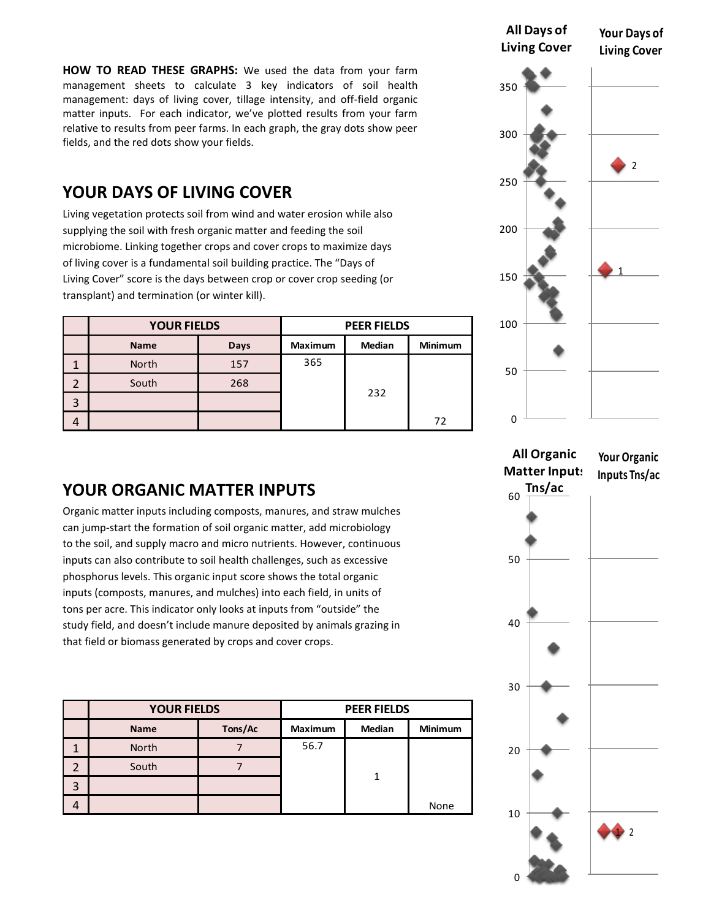**HOW TO READ THESE GRAPHS:** We used the data from your farm management sheets to calculate 3 key indicators of soil health management: days of living cover, tillage intensity, and off-field organic matter inputs. For each indicator, we've plotted results from your farm relative to results from peer farms. In each graph, the gray dots show peer fields, and the red dots show your fields.

## **YOUR DAYS OF LIVING COVER**

Living vegetation protects soil from wind and water erosion while also supplying the soil with fresh organic matter and feeding the soil microbiome. Linking together crops and cover crops to maximize days of living cover is a fundamental soil building practice. The "Days of Living Cover" score is the days between crop or cover crop seeding (or transplant) and termination (or winter kill).

| <b>YOUR FIELDS</b> |      | <b>PEER FIELDS</b> |        |         |
|--------------------|------|--------------------|--------|---------|
| <b>Name</b>        | Days | Maximum            | Median | Minimum |
| North              | 157  | 365                |        |         |
| South              | 268  |                    |        |         |
|                    |      |                    |        |         |
|                    |      |                    |        | 72      |
|                    |      |                    |        | 232     |

### **YOUR ORGANIC MATTER INPUTS**

Organic matter inputs including composts, manures, and straw mulches can jump-start the formation of soil organic matter, add microbiology to the soil, and supply macro and micro nutrients. However, continuous inputs can also contribute to soil health challenges, such as excessive phosphorus levels. This organic input score shows the total organic inputs (composts, manures, and mulches) into each field, in units of tons per acre. This indicator only looks at inputs from "outside" the study field, and doesn't include manure deposited by animals grazing in that field or biomass generated by crops and cover crops.

|                | <b>YOUR FIELDS</b> |         | <b>PEER FIELDS</b> |        |                |
|----------------|--------------------|---------|--------------------|--------|----------------|
|                | <b>Name</b>        | Tons/Ac | Maximum            | Median | <b>Minimum</b> |
|                | North              |         | 56.7               |        |                |
| 2              | South              |         |                    |        |                |
| $\overline{3}$ |                    |         |                    |        |                |
|                |                    |         |                    |        | None           |



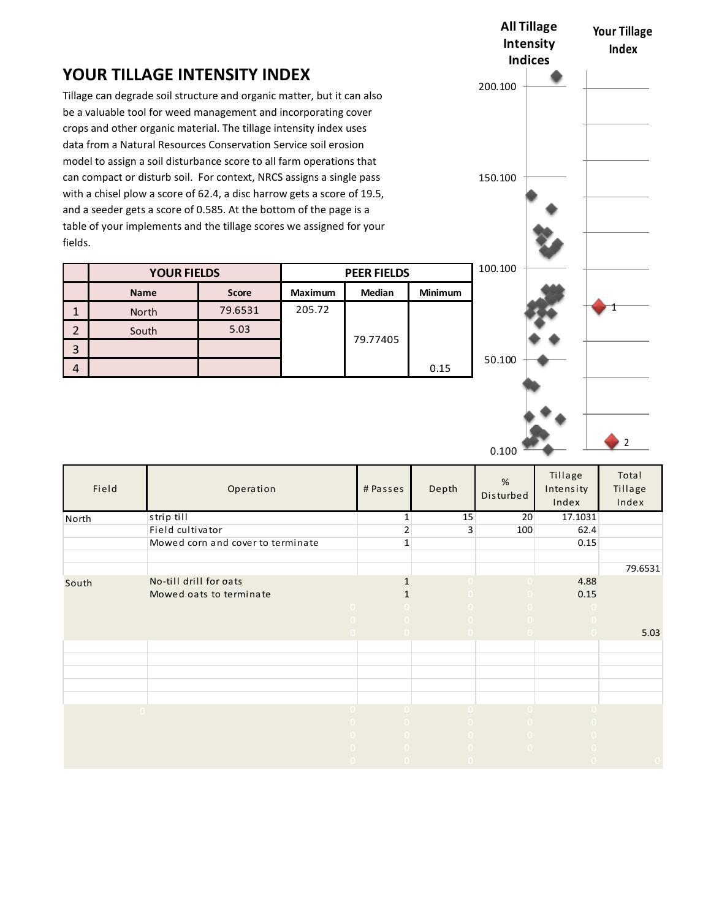### **YOUR TILLAGE INTENSITY INDEX**

Tillage can degrade soil structure and organic matter, but it can also be a valuable tool for weed management and incorporating cover crops and other organic material. The tillage intensity index uses data from a Natural Resources Conservation Service soil erosion model to assign a soil disturbance score to all farm operations that can compact or disturb soil. For context, NRCS assigns a single pass with a chisel plow a score of 62.4, a disc harrow gets a score of 19.5, and a seeder gets a score of 0.585. At the bottom of the page is a table of your implements and the tillage scores we assigned for your fields.

|   | <b>YOUR FIELDS</b> |              | <b>PEER FIELDS</b> |               |                | -10 |
|---|--------------------|--------------|--------------------|---------------|----------------|-----|
|   | <b>Name</b>        | <b>Score</b> | <b>Maximum</b>     | <b>Median</b> | <b>Minimum</b> |     |
|   | North              | 79.6531      | 205.72             |               |                |     |
|   | South              | 5.03         |                    |               |                |     |
| 3 |                    |              |                    | 79.77405      |                |     |
| 4 |                    |              |                    |               | 0.15           | 5   |



|                |                                   |                |                | 0.100                  |                               | 2                         |
|----------------|-----------------------------------|----------------|----------------|------------------------|-------------------------------|---------------------------|
| Field          | Operation                         | # Passes       | Depth          | $\%$<br>Disturbed      | Tillage<br>Intensity<br>Index | Total<br>Tillage<br>Index |
| North          | strip till                        | $\mathbf{1}$   | 15             | 20                     | 17.1031                       |                           |
|                | Field cultivator                  | $\overline{2}$ | 3              | 100                    | 62.4                          |                           |
|                | Mowed corn and cover to terminate | $\mathbf{1}$   |                |                        | 0.15                          |                           |
|                |                                   |                |                |                        |                               | 79.6531                   |
| South          | No-till drill for oats            | $\mathbf{1}$   | $\cup$         | $\circ$ O              | 4.88                          |                           |
|                | Mowed oats to terminate           | $\mathbf{1}$   | $\overline{0}$ | $\overline{0}$         | 0.15                          |                           |
|                | $\theta$                          | $\circ$ 0      | $\overline{0}$ | $\overline{0}$         | $\sim 0$                      |                           |
|                | $\overline{0}$                    | $\overline{0}$ | $\overline{0}$ | $\overline{0}$         | $\overline{0}$                |                           |
|                | $\overline{0}$                    | $-0$           | $\sim 0$       | $\sim$ $\sim$ 0 $\sim$ | $\sim 0$                      | 5.03                      |
|                |                                   |                |                |                        |                               |                           |
|                |                                   |                |                |                        |                               |                           |
|                |                                   |                |                |                        |                               |                           |
|                |                                   |                |                |                        |                               |                           |
|                |                                   |                |                |                        |                               |                           |
| $\overline{0}$ | $\overline{0}$                    | $\overline{0}$ | $\overline{0}$ | $\sim 0$               | $\sim 0$                      |                           |
|                | $\overline{0}$                    | $\overline{0}$ | $\overline{0}$ | $\bigcirc$             | $\overline{0}$                |                           |
|                | $\circ$                           | $\circ$ 0      | $\circ$ 0      | $\overline{O}$         | $\overline{0}$                |                           |
|                | $\overline{0}$                    | $\overline{0}$ | $\overline{0}$ | $\overline{0}$         | $\overline{0}$                |                           |
|                | $\overline{O}$                    | $\sim 0$       | $\overline{0}$ |                        | $\circ$ 0                     |                           |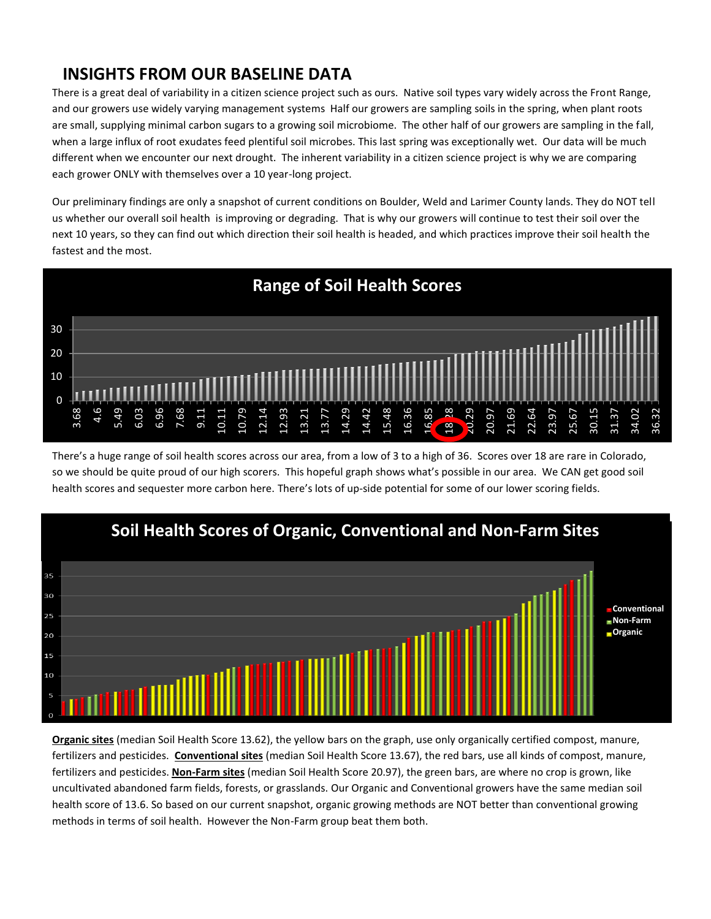## **INSIGHTS FROM OUR BASELINE DATA**

There is a great deal of variability in a citizen science project such as ours. Native soil types vary widely across the Front Range, and our growers use widely varying management systems Half our growers are sampling soils in the spring, when plant roots are small, supplying minimal carbon sugars to a growing soil microbiome. The other half of our growers are sampling in the fall, when a large influx of root exudates feed plentiful soil microbes. This last spring was exceptionally wet. Our data will be much different when we encounter our next drought. The inherent variability in a citizen science project is why we are comparing each grower ONLY with themselves over a 10 year-long project.

Our preliminary findings are only a snapshot of current conditions on Boulder, Weld and Larimer County lands. They do NOT tell us whether our overall soil health is improving or degrading. That is why our growers will continue to test their soil over the next 10 years, so they can find out which direction their soil health is headed, and which practices improve their soil health the fastest and the most.



There's a huge range of soil health scores across our area, from a low of 3 to a high of 36. Scores over 18 are rare in Colorado, so we should be quite proud of our high scorers. This hopeful graph shows what's possible in our area. We CAN get good soil health scores and sequester more carbon here. There's lots of up-side potential for some of our lower scoring fields.



**Organic sites** (median Soil Health Score 13.62), the yellow bars on the graph, use only organically certified compost, manure, fertilizers and pesticides. **Conventional sites** (median Soil Health Score 13.67), the red bars, use all kinds of compost, manure, fertilizers and pesticides. **Non-Farm sites** (median Soil Health Score 20.97), the green bars, are where no crop is grown, like uncultivated abandoned farm fields, forests, or grasslands. Our Organic and Conventional growers have the same median soil health score of 13.6. So based on our current snapshot, organic growing methods are NOT better than conventional growing methods in terms of soil health. However the Non-Farm group beat them both.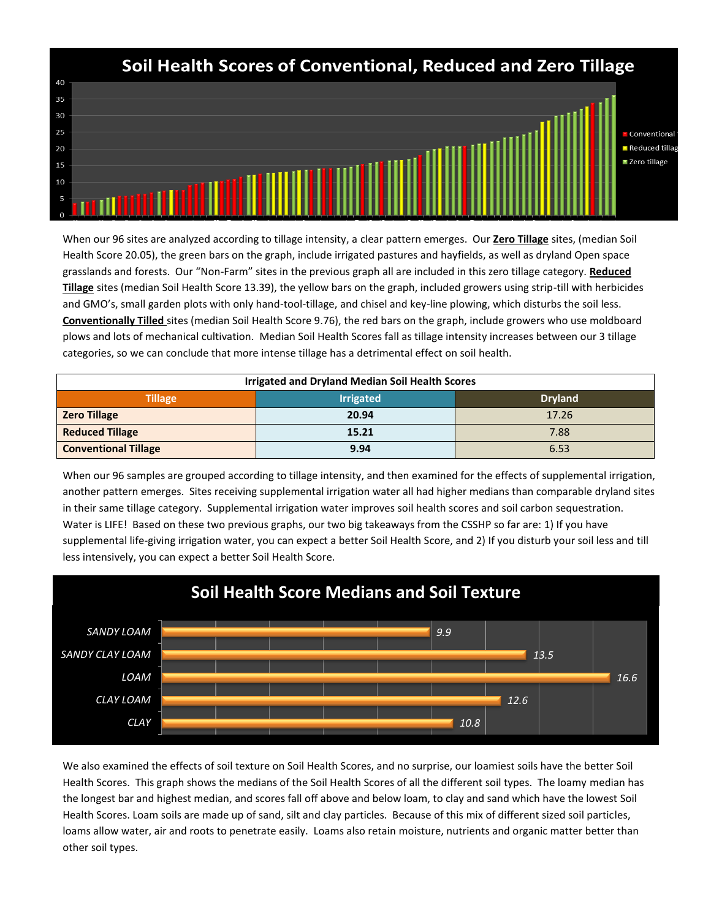

When our 96 sites are analyzed according to tillage intensity, a clear pattern emerges. Our **Zero Tillage** sites, (median Soil Health Score 20.05), the green bars on the graph, include irrigated pastures and hayfields, as well as dryland Open space grasslands and forests. Our "Non-Farm" sites in the previous graph all are included in this zero tillage category. **Reduced Tillage** sites (median Soil Health Score 13.39), the yellow bars on the graph, included growers using strip-till with herbicides and GMO's, small garden plots with only hand-tool-tillage, and chisel and key-line plowing, which disturbs the soil less. **Conventionally Tilled** sites (median Soil Health Score 9.76), the red bars on the graph, include growers who use moldboard plows and lots of mechanical cultivation. Median Soil Health Scores fall as tillage intensity increases between our 3 tillage categories, so we can conclude that more intense tillage has a detrimental effect on soil health.

| <b>Irrigated and Dryland Median Soil Health Scores</b> |                |       |  |  |  |  |
|--------------------------------------------------------|----------------|-------|--|--|--|--|
| <b>Tillage</b>                                         | <b>Dryland</b> |       |  |  |  |  |
| <b>Zero Tillage</b>                                    | 20.94          | 17.26 |  |  |  |  |
| <b>Reduced Tillage</b>                                 | 15.21          | 7.88  |  |  |  |  |
| <b>Conventional Tillage</b>                            | 9.94           | 6.53  |  |  |  |  |

When our 96 samples are grouped according to tillage intensity, and then examined for the effects of supplemental irrigation, another pattern emerges. Sites receiving supplemental irrigation water all had higher medians than comparable dryland sites in their same tillage category. Supplemental irrigation water improves soil health scores and soil carbon sequestration. Water is LIFE! Based on these two previous graphs, our two big takeaways from the CSSHP so far are: 1) If you have supplemental life-giving irrigation water, you can expect a better Soil Health Score, and 2) If you disturb your soil less and till less intensively, you can expect a better Soil Health Score.



We also examined the effects of soil texture on Soil Health Scores, and no surprise, our loamiest soils have the better Soil Health Scores. This graph shows the medians of the Soil Health Scores of all the different soil types. The loamy median has the longest bar and highest median, and scores fall off above and below loam, to clay and sand which have the lowest Soil Health Scores. Loam soils are made up of sand, silt and clay particles. Because of this mix of different sized soil particles, loams allow water, air and roots to penetrate easily. Loams also retain moisture, nutrients and organic matter better than other soil types.